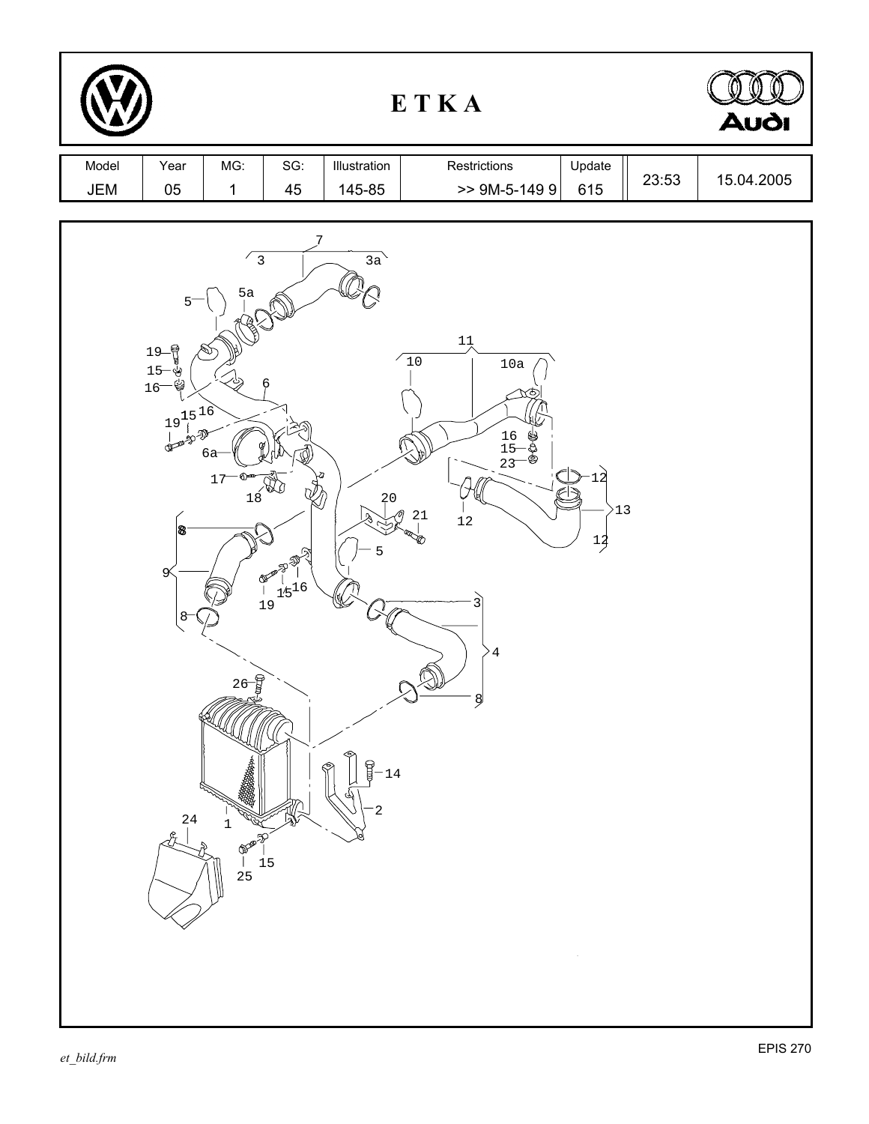| ETKA         |                                                                                                            |                                                                                                      |                                                                                                                                                                                                                                                                                                                                                                                                                                                                          |                                     |                                                                                                                |                      |       | <b>Audi</b> |
|--------------|------------------------------------------------------------------------------------------------------------|------------------------------------------------------------------------------------------------------|--------------------------------------------------------------------------------------------------------------------------------------------------------------------------------------------------------------------------------------------------------------------------------------------------------------------------------------------------------------------------------------------------------------------------------------------------------------------------|-------------------------------------|----------------------------------------------------------------------------------------------------------------|----------------------|-------|-------------|
| Model<br>JEM | Year<br>$05\,$                                                                                             | MG:<br>$\mathbf 1$                                                                                   | SG:<br>45                                                                                                                                                                                                                                                                                                                                                                                                                                                                | Illustration<br>145-85              | Restrictions<br>$> 9M-5-1499$                                                                                  | Update<br>615        | 23:53 | 15.04.2005  |
|              | $5-$<br>19-1<br>$15 -$<br>Ÿ<br>$16-$<br>$19^{15}_{10}$<br>473<br>$\pmb{8}$<br>$\infty$<br>$8-$<br>24<br>Ĵ, | $\frac{2}{3}$<br>5a<br><u>ба</u><br>$17$<br>$26 - \frac{6}{9}$<br>$\mathbf 1$<br><b>REPORT</b><br>25 | $\begin{picture}(4,4) \put(0,0) {\line(1,0){18}} \put(1,0){\line(1,0){18}} \put(1,0){\line(1,0){18}} \put(1,0){\line(1,0){18}} \put(1,0){\line(1,0){18}} \put(1,0){\line(1,0){18}} \put(1,0){\line(1,0){18}} \put(1,0){\line(1,0){18}} \put(1,0){\line(1,0){18}} \put(1,0){\line(1,0){18}} \put(1,0){\line(1,0){18}} \put(1,0){\line(1,0){18}} \put(1,0){$<br>$\mathcal{Q}_1$<br><b>Report Budget</b><br>$\begin{bmatrix} 1 & 1/5 & 16 \\ 1 & 9 & 1 \end{bmatrix}$<br>15 | 3a<br>20<br>D)<br>A<br>5<br>14<br>2 | $1\frac{1}{\wedge}$<br>$10$<br>$10a$<br>$\frac{16}{15}$<br>23<br>\$\$\$<br>21<br>12<br>3<br>$\bf 4$<br>$\beta$ | >13<br>$\frac{1}{2}$ |       |             |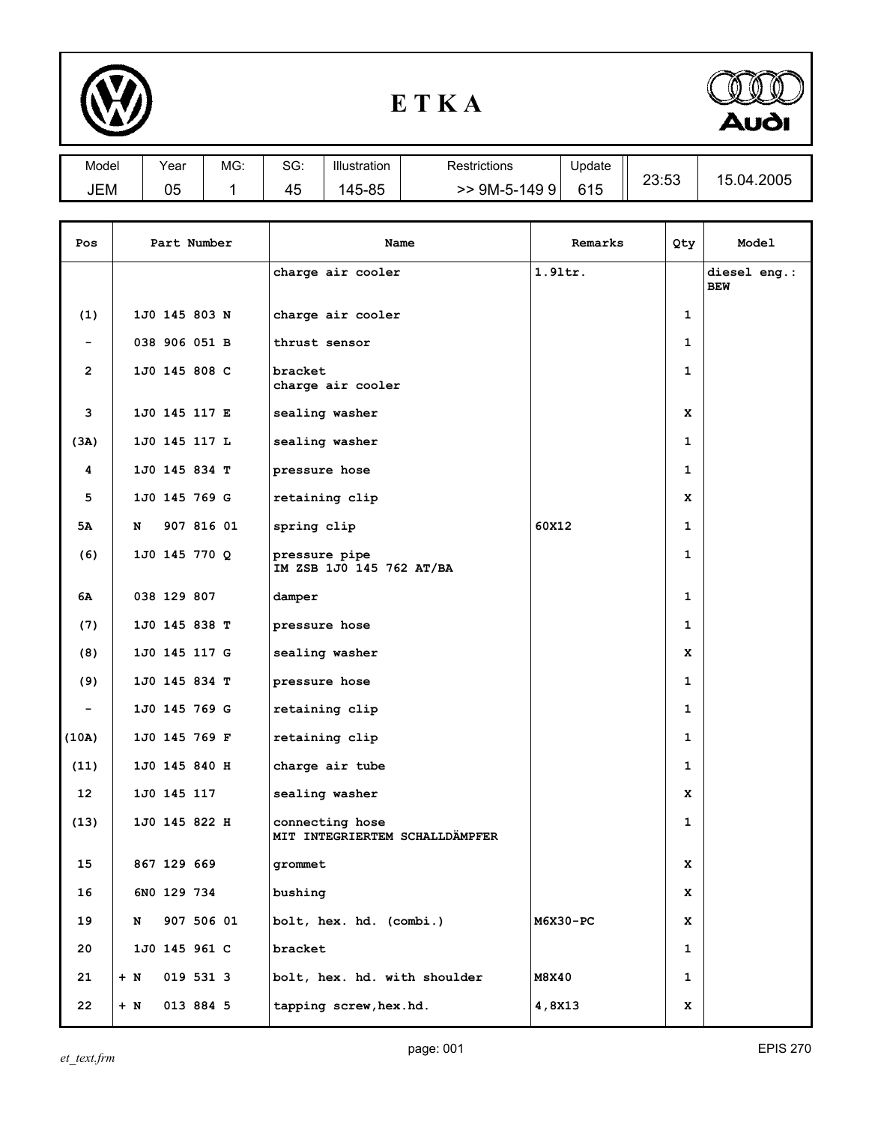

## **E T K A**



| Model | Year     | MG: | SG: | Illustration | Restrictions | Update | 00.50                       | .04.2005<br>1 h |
|-------|----------|-----|-----|--------------|--------------|--------|-----------------------------|-----------------|
| JEM   | በፍ<br>uu |     | 45  | 145-85       | 9M-5-1499    | 615    | . .<br>$\ddot{\,}$<br>∠ບ.ບປ |                 |

| Pos            |       | Part Number   |  | Name                                              | Remarks    | Qty          | Model                      |
|----------------|-------|---------------|--|---------------------------------------------------|------------|--------------|----------------------------|
|                |       |               |  | charge air cooler                                 | $1.91$ tr. |              | diesel eng.:<br><b>BEW</b> |
| (1)            |       | 1J0 145 803 N |  | charge air cooler                                 |            | 1            |                            |
|                |       | 038 906 051 B |  | thrust sensor                                     |            | $\mathbf{1}$ |                            |
| $\overline{2}$ |       | 1J0 145 808 C |  | bracket<br>charge air cooler                      |            | $\mathbf{1}$ |                            |
| 3              |       | 1J0 145 117 E |  | sealing washer                                    |            | x            |                            |
| (3A)           |       | 1J0 145 117 L |  | sealing washer                                    |            | 1            |                            |
| 4              |       | 1J0 145 834 T |  | pressure hose                                     |            | 1            |                            |
| 5              |       | 1J0 145 769 G |  | retaining clip                                    |            | x            |                            |
| 5Α             | N     | 907 816 01    |  | spring clip                                       | 60X12      | $\mathbf{1}$ |                            |
| (6)            |       | 1J0 145 770 Q |  | pressure pipe<br>IM ZSB 1J0 145 762 AT/BA         |            | 1            |                            |
| 6А             |       | 038 129 807   |  | damper                                            |            | $\mathbf{1}$ |                            |
| (7)            |       | 1J0 145 838 T |  | pressure hose                                     |            | $\mathbf{1}$ |                            |
| (8)            |       | 1J0 145 117 G |  | sealing washer                                    |            | x            |                            |
| (9)            |       | 1J0 145 834 T |  | pressure hose                                     |            | 1            |                            |
|                |       | 1J0 145 769 G |  | retaining clip                                    |            | $\mathbf{1}$ |                            |
| (10A)          |       | 1J0 145 769 F |  | retaining clip                                    |            | 1            |                            |
| (11)           |       | 1J0 145 840 H |  | charge air tube                                   |            | 1            |                            |
| 12             |       | 1J0 145 117   |  | sealing washer                                    |            | x            |                            |
| (13)           |       | 1J0 145 822 H |  | connecting hose<br>MIT INTEGRIERTEM SCHALLDÄMPFER |            | 1            |                            |
| 15             |       | 867 129 669   |  | grommet                                           |            | <u>x</u>     |                            |
| 16             |       | 6NO 129 734   |  | bushing                                           |            | x            |                            |
| 19             | N     | 907 506 01    |  | bolt, hex. hd. (combi.)                           | M6X30-PC   | x            |                            |
| 20             |       | 1J0 145 961 C |  | bracket                                           |            | $\mathbf{1}$ |                            |
| 21             | $+$ N | 019 531 3     |  | bolt, hex. hd. with shoulder                      | M8X40      | $\mathbf{1}$ |                            |
| 22             | $+$ N | 013 884 5     |  | tapping screw, hex.hd.                            | 4,8X13     | x            |                            |